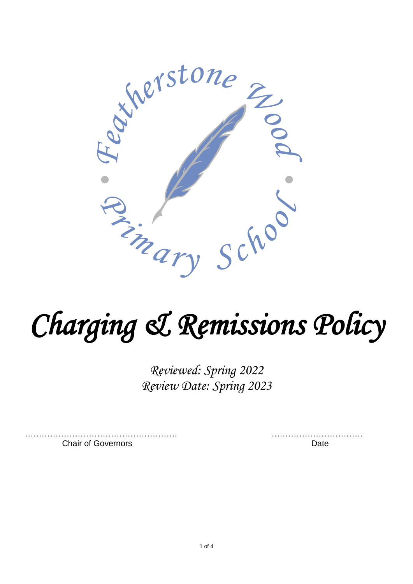

# *Charging & Remissions Policy*

*Reviewed: Spring 2022 Review Date: Spring 2023*

Chair of Governors **Date** 

………………………………………………. ……………………………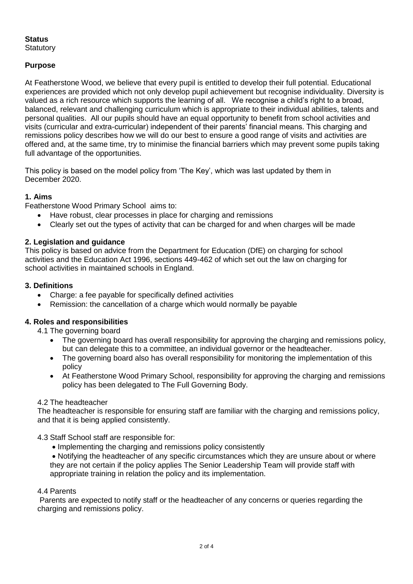## **Status**

**Statutory** 

## **Purpose**

At Featherstone Wood, we believe that every pupil is entitled to develop their full potential. Educational experiences are provided which not only develop pupil achievement but recognise individuality. Diversity is valued as a rich resource which supports the learning of all. We recognise a child's right to a broad, balanced, relevant and challenging curriculum which is appropriate to their individual abilities, talents and personal qualities. All our pupils should have an equal opportunity to benefit from school activities and visits (curricular and extra-curricular) independent of their parents' financial means. This charging and remissions policy describes how we will do our best to ensure a good range of visits and activities are offered and, at the same time, try to minimise the financial barriers which may prevent some pupils taking full advantage of the opportunities.

This policy is based on the model policy from 'The Key', which was last updated by them in December 2020.

## **1. Aims**

Featherstone Wood Primary School aims to:

- Have robust, clear processes in place for charging and remissions
- Clearly set out the types of activity that can be charged for and when charges will be made

## **2. Legislation and guidance**

This policy is based on advice from the Department for Education (DfE) on charging for school activities and the Education Act 1996, sections 449-462 of which set out the law on charging for school activities in maintained schools in England.

## **3. Definitions**

- Charge: a fee payable for specifically defined activities
- Remission: the cancellation of a charge which would normally be payable

## **4. Roles and responsibilities**

4.1 The governing board

- The governing board has overall responsibility for approving the charging and remissions policy, but can delegate this to a committee, an individual governor or the headteacher.
- The governing board also has overall responsibility for monitoring the implementation of this policy
- At Featherstone Wood Primary School, responsibility for approving the charging and remissions policy has been delegated to The Full Governing Body.

#### 4.2 The headteacher

The headteacher is responsible for ensuring staff are familiar with the charging and remissions policy, and that it is being applied consistently.

4.3 Staff School staff are responsible for:

- Implementing the charging and remissions policy consistently
- Notifying the headteacher of any specific circumstances which they are unsure about or where they are not certain if the policy applies The Senior Leadership Team will provide staff with appropriate training in relation the policy and its implementation.

#### 4.4 Parents

Parents are expected to notify staff or the headteacher of any concerns or queries regarding the charging and remissions policy.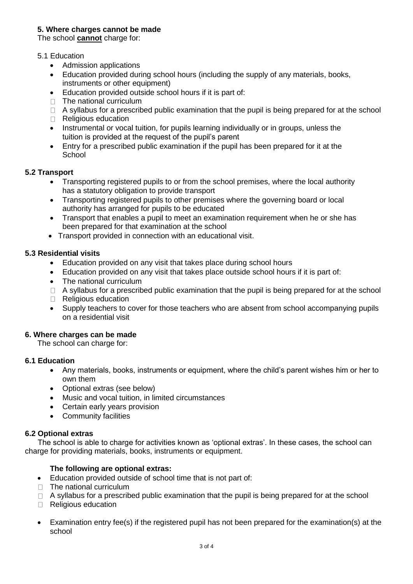#### **5. Where charges cannot be made**

The school **cannot** charge for:

#### 5.1 Education

- Admission applications
- Education provided during school hours (including the supply of any materials, books, instruments or other equipment)
- Education provided outside school hours if it is part of:
- $\Box$  The national curriculum
- $\Box$  A syllabus for a prescribed public examination that the pupil is being prepared for at the school
- Religious education
- Instrumental or vocal tuition, for pupils learning individually or in groups, unless the tuition is provided at the request of the pupil's parent
- Entry for a prescribed public examination if the pupil has been prepared for it at the **School**

#### **5.2 Transport**

- Transporting registered pupils to or from the school premises, where the local authority has a statutory obligation to provide transport
- Transporting registered pupils to other premises where the governing board or local authority has arranged for pupils to be educated
- Transport that enables a pupil to meet an examination requirement when he or she has been prepared for that examination at the school
- Transport provided in connection with an educational visit.

#### **5.3 Residential visits**

- Education provided on any visit that takes place during school hours
- Education provided on any visit that takes place outside school hours if it is part of:
- The national curriculum
- $\Box$  A syllabus for a prescribed public examination that the pupil is being prepared for at the school
- Religious education
- Supply teachers to cover for those teachers who are absent from school accompanying pupils on a residential visit

#### **6. Where charges can be made**

The school can charge for:

#### **6.1 Education**

- Any materials, books, instruments or equipment, where the child's parent wishes him or her to own them
- Optional extras (see below)
- Music and vocal tuition, in limited circumstances
- Certain early years provision
- Community facilities

#### **6.2 Optional extras**

 The school is able to charge for activities known as 'optional extras'. In these cases, the school can charge for providing materials, books, instruments or equipment.

#### **The following are optional extras:**

- Education provided outside of school time that is not part of:
- $\Box$  The national curriculum
- $\Box$  A syllabus for a prescribed public examination that the pupil is being prepared for at the school
- Religious education
- Examination entry fee(s) if the registered pupil has not been prepared for the examination(s) at the school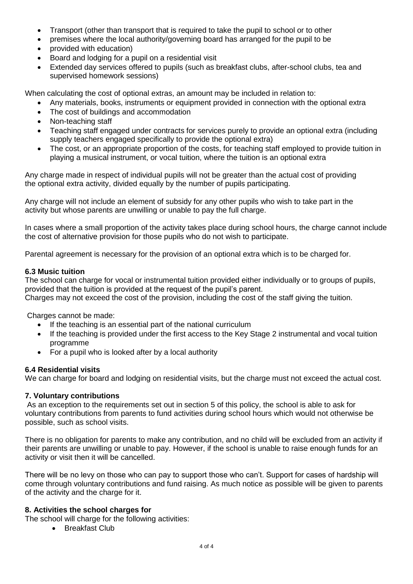- Transport (other than transport that is required to take the pupil to school or to other
- premises where the local authority/governing board has arranged for the pupil to be
- provided with education)
- Board and lodging for a pupil on a residential visit
- Extended day services offered to pupils (such as breakfast clubs, after-school clubs, tea and supervised homework sessions)

When calculating the cost of optional extras, an amount may be included in relation to:

- Any materials, books, instruments or equipment provided in connection with the optional extra
- The cost of buildings and accommodation
- Non-teaching staff
- Teaching staff engaged under contracts for services purely to provide an optional extra (including supply teachers engaged specifically to provide the optional extra)
- The cost, or an appropriate proportion of the costs, for teaching staff employed to provide tuition in playing a musical instrument, or vocal tuition, where the tuition is an optional extra

Any charge made in respect of individual pupils will not be greater than the actual cost of providing the optional extra activity, divided equally by the number of pupils participating.

Any charge will not include an element of subsidy for any other pupils who wish to take part in the activity but whose parents are unwilling or unable to pay the full charge.

In cases where a small proportion of the activity takes place during school hours, the charge cannot include the cost of alternative provision for those pupils who do not wish to participate.

Parental agreement is necessary for the provision of an optional extra which is to be charged for.

#### **6.3 Music tuition**

The school can charge for vocal or instrumental tuition provided either individually or to groups of pupils, provided that the tuition is provided at the request of the pupil's parent.

Charges may not exceed the cost of the provision, including the cost of the staff giving the tuition.

Charges cannot be made:

- If the teaching is an essential part of the national curriculum
- If the teaching is provided under the first access to the Key Stage 2 instrumental and vocal tuition programme
- For a pupil who is looked after by a local authority

## **6.4 Residential visits**

We can charge for board and lodging on residential visits, but the charge must not exceed the actual cost.

## **7. Voluntary contributions**

As an exception to the requirements set out in section 5 of this policy, the school is able to ask for voluntary contributions from parents to fund activities during school hours which would not otherwise be possible, such as school visits.

There is no obligation for parents to make any contribution, and no child will be excluded from an activity if their parents are unwilling or unable to pay. However, if the school is unable to raise enough funds for an activity or visit then it will be cancelled.

There will be no levy on those who can pay to support those who can't. Support for cases of hardship will come through voluntary contributions and fund raising. As much notice as possible will be given to parents of the activity and the charge for it.

## **8. Activities the school charges for**

The school will charge for the following activities:

• Breakfast Club